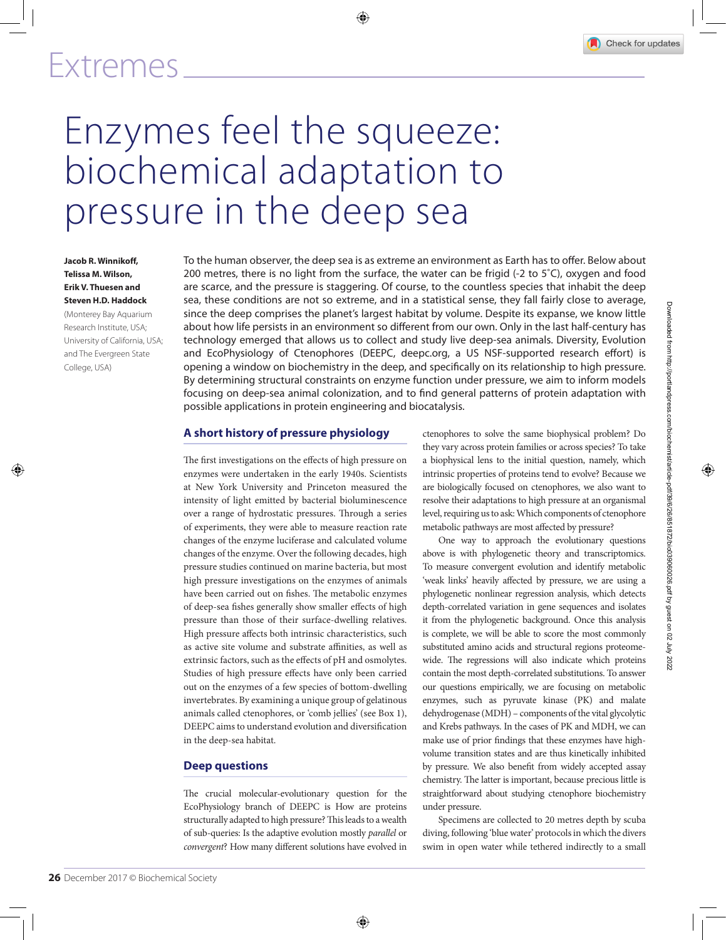

# Enzymes feel the squeeze: biochemical adaptation to pressure in the deep sea

#### **Jacob R. Winnikoff, Telissa M. Wilson, Erik V. Thuesen and Steven H.D. Haddock**

(Monterey Bay Aquarium Research Institute, USA; University of California, USA; and The Evergreen State College, USA)

To the human observer, the deep sea is as extreme an environment as Earth has to offer. Below about 200 metres, there is no light from the surface, the water can be frigid (-2 to 5˚C), oxygen and food are scarce, and the pressure is staggering. Of course, to the countless species that inhabit the deep sea, these conditions are not so extreme, and in a statistical sense, they fall fairly close to average, since the deep comprises the planet's largest habitat by volume. Despite its expanse, we know little about how life persists in an environment so different from our own. Only in the last half-century has technology emerged that allows us to collect and study live deep-sea animals. Diversity, Evolution and EcoPhysiology of Ctenophores (DEEPC, deepc.org, a US NSF-supported research effort) is opening a window on biochemistry in the deep, and specifically on its relationship to high pressure. By determining structural constraints on enzyme function under pressure, we aim to inform models focusing on deep-sea animal colonization, and to find general patterns of protein adaptation with possible applications in protein engineering and biocatalysis.

#### **A short history of pressure physiology**

The first investigations on the effects of high pressure on enzymes were undertaken in the early 1940s. Scientists at New York University and Princeton measured the intensity of light emitted by bacterial bioluminescence over a range of hydrostatic pressures. Through a series of experiments, they were able to measure reaction rate changes of the enzyme luciferase and calculated volume changes of the enzyme. Over the following decades, high pressure studies continued on marine bacteria, but most high pressure investigations on the enzymes of animals have been carried out on fishes. The metabolic enzymes of deep-sea fishes generally show smaller effects of high pressure than those of their surface-dwelling relatives. High pressure affects both intrinsic characteristics, such as active site volume and substrate affinities, as well as extrinsic factors, such as the effects of pH and osmolytes. Studies of high pressure effects have only been carried out on the enzymes of a few species of bottom-dwelling invertebrates. By examining a unique group of gelatinous animals called ctenophores, or 'comb jellies' (see Box 1), DEEPC aims to understand evolution and diversification in the deep-sea habitat.

### **Deep questions**

The crucial molecular-evolutionary question for the EcoPhysiology branch of DEEPC is How are proteins structurally adapted to high pressure? This leads to a wealth of sub-queries: Is the adaptive evolution mostly *parallel* or *convergent*? How many different solutions have evolved in ctenophores to solve the same biophysical problem? Do they vary across protein families or across species? To take a biophysical lens to the initial question, namely, which intrinsic properties of proteins tend to evolve? Because we are biologically focused on ctenophores, we also want to resolve their adaptations to high pressure at an organismal level, requiring us to ask: Which components of ctenophore metabolic pathways are most affected by pressure?

One way to approach the evolutionary questions above is with phylogenetic theory and transcriptomics. To measure convergent evolution and identify metabolic 'weak links' heavily affected by pressure, we are using a phylogenetic nonlinear regression analysis, which detects depth-correlated variation in gene sequences and isolates it from the phylogenetic background. Once this analysis is complete, we will be able to score the most commonly substituted amino acids and structural regions proteomewide. The regressions will also indicate which proteins contain the most depth-correlated substitutions. To answer our questions empirically, we are focusing on metabolic enzymes, such as pyruvate kinase (PK) and malate dehydrogenase (MDH) – components of the vital glycolytic and Krebs pathways. In the cases of PK and MDH, we can make use of prior findings that these enzymes have highvolume transition states and are thus kinetically inhibited by pressure. We also benefit from widely accepted assay chemistry. The latter is important, because precious little is straightforward about studying ctenophore biochemistry under pressure.

Specimens are collected to 20 metres depth by scuba diving, following 'blue water' protocols in which the divers swim in open water while tethered indirectly to a small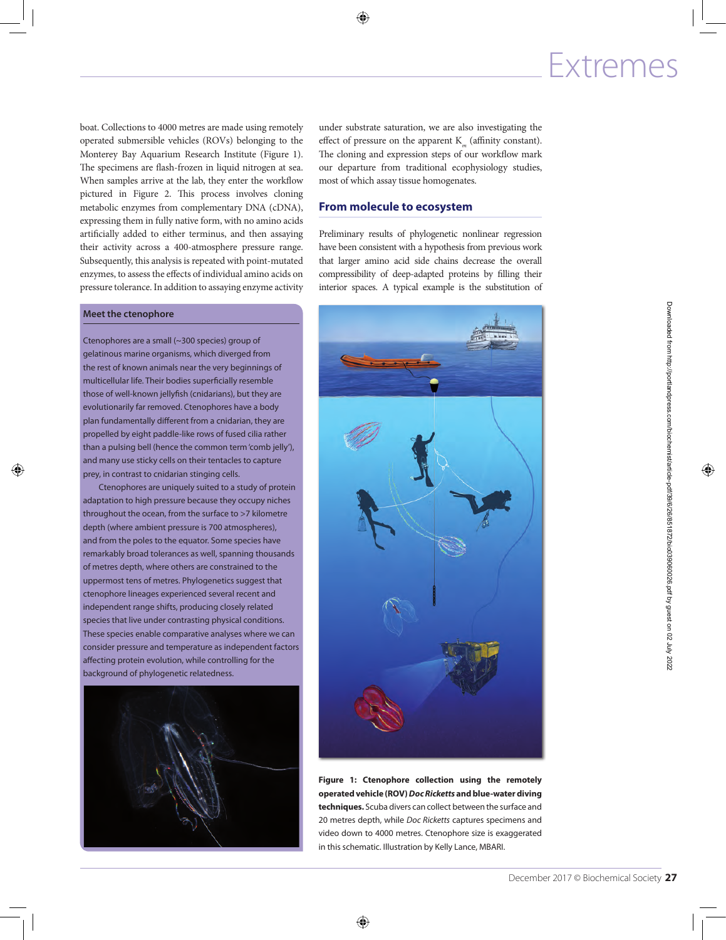boat. Collections to 4000 metres are made using remotely operated submersible vehicles (ROVs) belonging to the Monterey Bay Aquarium Research Institute (Figure 1). The specimens are flash-frozen in liquid nitrogen at sea. When samples arrive at the lab, they enter the workflow pictured in Figure 2. This process involves cloning metabolic enzymes from complementary DNA (cDNA), expressing them in fully native form, with no amino acids artificially added to either terminus, and then assaying their activity across a 400-atmosphere pressure range. Subsequently, this analysis is repeated with point-mutated enzymes, to assess the effects of individual amino acids on pressure tolerance. In addition to assaying enzyme activity

#### **Meet the ctenophore**

Ctenophores are a small (~300 species) group of gelatinous marine organisms, which diverged from the rest of known animals near the very beginnings of multicellular life. Their bodies superficially resemble those of well-known jellyfish (cnidarians), but they are evolutionarily far removed. Ctenophores have a body plan fundamentally different from a cnidarian, they are propelled by eight paddle-like rows of fused cilia rather than a pulsing bell (hence the common term 'comb jelly'), and many use sticky cells on their tentacles to capture prey, in contrast to cnidarian stinging cells.

Ctenophores are uniquely suited to a study of protein adaptation to high pressure because they occupy niches throughout the ocean, from the surface to >7 kilometre depth (where ambient pressure is 700 atmospheres), and from the poles to the equator. Some species have remarkably broad tolerances as well, spanning thousands of metres depth, where others are constrained to the uppermost tens of metres. Phylogenetics suggest that ctenophore lineages experienced several recent and independent range shifts, producing closely related species that live under contrasting physical conditions. These species enable comparative analyses where we can consider pressure and temperature as independent factors affecting protein evolution, while controlling for the background of phylogenetic relatedness.



under substrate saturation, we are also investigating the effect of pressure on the apparent K*m* (affinity constant). The cloning and expression steps of our workflow mark our departure from traditional ecophysiology studies, most of which assay tissue homogenates.

#### **From molecule to ecosystem**

Preliminary results of phylogenetic nonlinear regression have been consistent with a hypothesis from previous work that larger amino acid side chains decrease the overall compressibility of deep-adapted proteins by filling their interior spaces. A typical example is the substitution of



**Figure 1: Ctenophore collection using the remotely operated vehicle (ROV)** *Doc Ricketts* **and blue-water diving techniques.** Scuba divers can collect between the surface and 20 metres depth, while *Doc Ricketts* captures specimens and video down to 4000 metres. Ctenophore size is exaggerated in this schematic. Illustration by Kelly Lance, MBARI.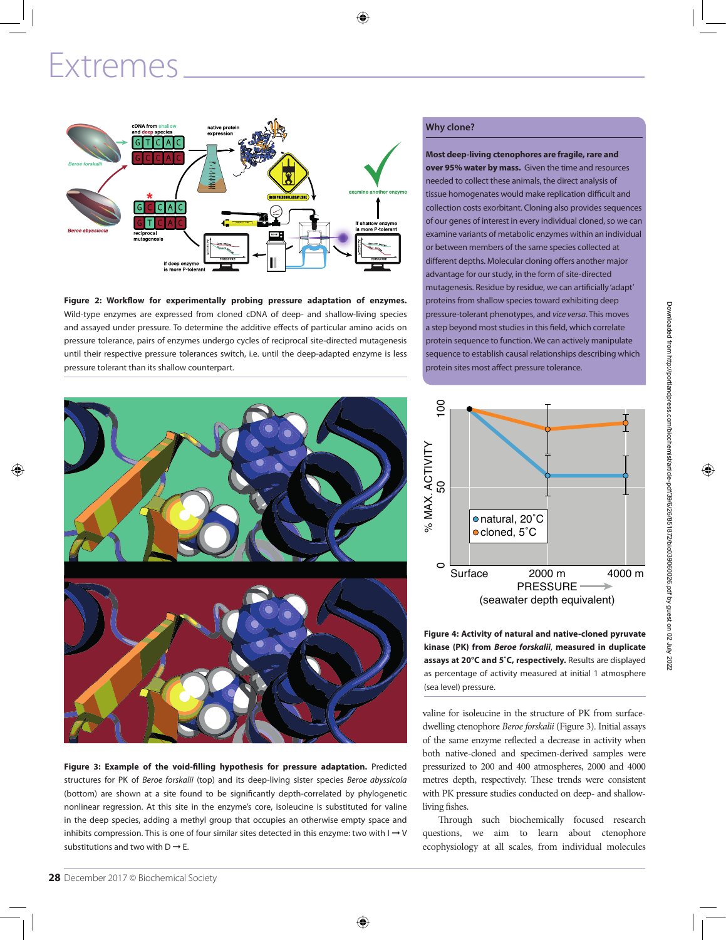

**Figure 2: Workflow for experimentally probing pressure adaptation of enzymes.** Wild-type enzymes are expressed from cloned cDNA of deep- and shallow-living species and assayed under pressure. To determine the additive effects of particular amino acids on pressure tolerance, pairs of enzymes undergo cycles of reciprocal site-directed mutagenesis until their respective pressure tolerances switch, i.e. until the deep-adapted enzyme is less pressure tolerant than its shallow counterpart.

**Figure 3: Example of the void-filling hypothesis for pressure adaptation.** Predicted structures for PK of *Beroe forskalii* (top) and its deep-living sister species *Beroe abyssicola* (bottom) are shown at a site found to be significantly depth-correlated by phylogenetic nonlinear regression. At this site in the enzyme's core, isoleucine is substituted for valine in the deep species, adding a methyl group that occupies an otherwise empty space and inhibits compression. This is one of four similar sites detected in this enzyme: two with  $I \rightarrow V$ substitutions and two with  $D \rightarrow E$ .

#### **Why clone?**

**Most deep-living ctenophores are fragile, rare and over 95% water by mass.** Given the time and resources needed to collect these animals, the direct analysis of tissue homogenates would make replication difficult and collection costs exorbitant. Cloning also provides sequences of our genes of interest in every individual cloned, so we can examine variants of metabolic enzymes within an individual or between members of the same species collected at different depths. Molecular cloning offers another major advantage for our study, in the form of site-directed mutagenesis. Residue by residue, we can artificially 'adapt' proteins from shallow species toward exhibiting deep pressure-tolerant phenotypes, and *vice versa*. This moves a step beyond most studies in this field, which correlate protein sequence to function. We can actively manipulate sequence to establish causal relationships describing which protein sites most affect pressure tolerance.



**Figure 4: Activity of natural and native-cloned pyruvate kinase (PK) from** *Beroe forskalii*, **measured in duplicate assays at 20°C and 5˚C, respectively.** Results are displayed as percentage of activity measured at initial 1 atmosphere (sea level) pressure.

valine for isoleucine in the structure of PK from surfacedwelling ctenophore *Beroe forskalii* (Figure 3). Initial assays of the same enzyme reflected a decrease in activity when both native-cloned and specimen-derived samples were pressurized to 200 and 400 atmospheres, 2000 and 4000 metres depth, respectively. These trends were consistent with PK pressure studies conducted on deep- and shallowliving fishes.

Through such biochemically focused research questions, we aim to learn about ctenophore ecophysiology at all scales, from individual molecules